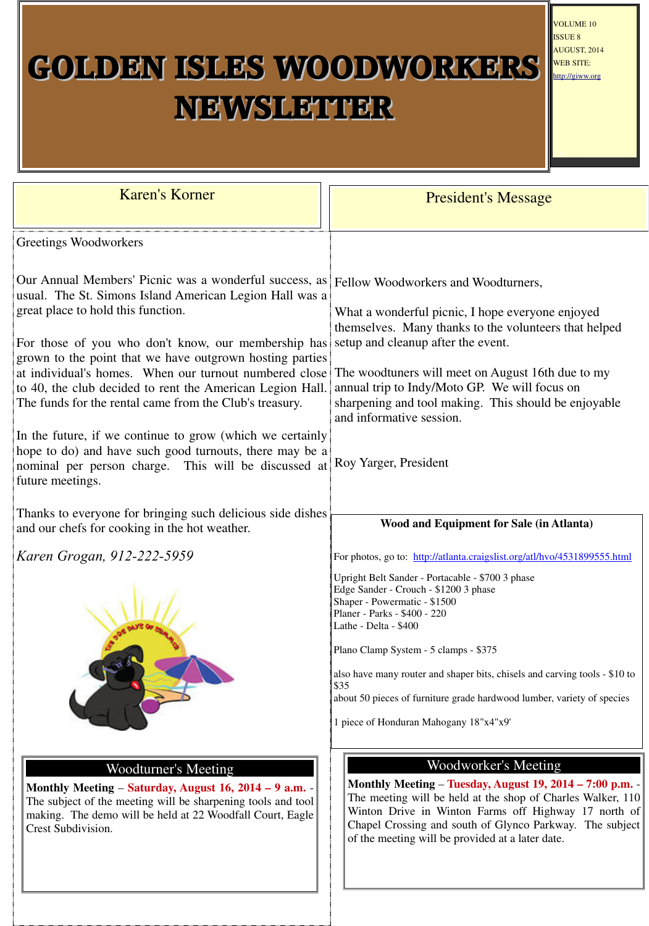# GOLDEN ISLES WOODWORKERS NEWSLETTER

| <b>Karen's Korner</b>                                                                                                                                                                            | <b>President's Message</b>                                                                                                                                                             |
|--------------------------------------------------------------------------------------------------------------------------------------------------------------------------------------------------|----------------------------------------------------------------------------------------------------------------------------------------------------------------------------------------|
| Greetings Woodworkers                                                                                                                                                                            |                                                                                                                                                                                        |
| Our Annual Members' Picnic was a wonderful success, as<br>usual. The St. Simons Island American Legion Hall was a<br>great place to hold this function.                                          | Fellow Woodworkers and Woodturners,<br>What a wonderful picnic, I hope everyone enjoyed                                                                                                |
| For those of you who don't know, our membership has<br>grown to the point that we have outgrown hosting parties                                                                                  | themselves. Many thanks to the volunteers that helped<br>setup and cleanup after the event.                                                                                            |
| at individual's homes. When our turnout numbered close<br>to 40, the club decided to rent the American Legion Hall.<br>The funds for the rental came from the Club's treasury.                   | The woodtuners will meet on August 16th due to my<br>annual trip to Indy/Moto GP. We will focus on<br>sharpening and tool making. This should be enjoyable<br>and informative session. |
| In the future, if we continue to grow (which we certainly<br>hope to do) and have such good turnouts, there may be a<br>nominal per person charge. This will be discussed at<br>future meetings. | Roy Yarger, President                                                                                                                                                                  |
| Thanks to everyone for bringing such delicious side dishes<br>and our chefs for cooking in the hot weather.                                                                                      | <b>Wood and Equipment for Sale (in Atlanta)</b>                                                                                                                                        |
| Karen Grogan, 912-222-5959                                                                                                                                                                       | For photos, go to: http://atlanta.craigslist.org/atl/hvo/4531899555.html                                                                                                               |
|                                                                                                                                                                                                  | Upright Belt Sander - Portacable - \$700 3 phase                                                                                                                                       |



#### Woodturner's Meeting

**Monthly Meeting** – **Saturday, August 16, 2014 – 9 a.m.** - The subject of the meeting will be sharpening tools and tool making. The demo will be held at 22 Woodfall Court, Eagle Crest Subdivision.

VOLUME 10 ISSUE 8 AUGUST, 2014 WEB SITE: http://giww.org

#### Woodworker's Meeting

**Monthly Meeting** – **Tuesday, August 19, 2014 – 7:00 p.m.** - The meeting will be held at the shop of Charles Walker, 110 Winton Drive in Winton Farms off Highway 17 north of Chapel Crossing and south of Glynco Parkway. The subject of the meeting will be provided at a later date.

Edge Sander - Crouch - \$1200 3 phase Shaper - Powermatic - \$1500 Planer - Parks - \$400 - 220 Lathe - Delta - \$400

Plano Clamp System - 5 clamps - \$375

also have many router and shaper bits, chisels and carving tools - \$10 to \$35

about 50 pieces of furniture grade hardwood lumber, variety of species

1 piece of Honduran Mahogany 18"x4"x9'